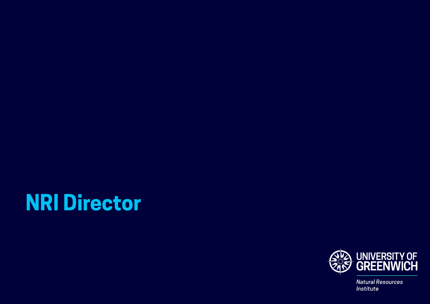# **NRI Director**



**Natural Resources** Institute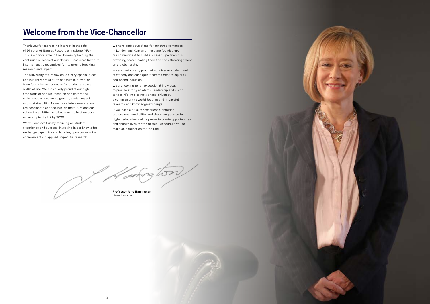

# **Welcome from the Vice-Chancellor**

Thank you for expressing interest in the role We have ambitious plans for our three campuses of Director of Natural Resources Institute (NRI). in London and Kent and these are founded upon This is a pivotal role in the University leading the our commitment to build successful partnerships, internationally recognised for its ground breaking on a global scale. research and impact. We are particularly proud of our diverse student and

and is rightly proud of its heritage in providing equity and inclusion. transformative experiences for students from all We are looking for an exceptional individual walks of life. We are equally proud of our high to provide strong academic leadership and vision standards of applied research and enterprise to take NRI into its next phase, driven by which support economic growth, social impact a commitment to world-leading and impactful and sustainability. As we move into a new era, we research and knowledge exchange. are passionate and focused on the future and our<br>collective ambition, collective ambition is to become the best modern collective ambition is to become the best modern professional credibility, and share our passion for university in the UK by 2030.

We will achieve this by focusing on student and change lives for the better, I encourage you to experience and success, investing in our knowledge make an application for the role. exchange capability and building upon our existing achievements in applied, impactful research.

continued success of our Natural Resources Institute, providing sector leading facilities and attracting talent

The University of Greenwich is a very special place staff body and our explicit commitment to equality,

higher education and its power to create opportunities

Haring ton

**Professor Jane Harrington** Vice-Chancellor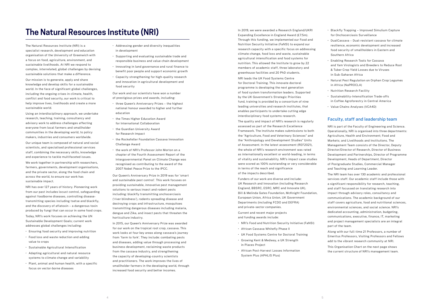# **The Natural Resources Institute (NRI)**

The Natural Resources Institute (NRI) is a **•** Addressing gender and diversity inequalities specialist research, development and education in development organisation of the University of Greenwich with • Supporting and evaluating sustainable trade and sustainable livelihoods. At NRI we respond to<br>complex, interrelated, global challenges by devising<br>complex, interrelated, global challenges by devising sustainable solutions that make a difference.

Our mission is to generate, apply and share<br>and innovation in agricultural development and knowledge and develop skills for a sustainable food security world. In the face of significant global challenges, including the ongoing crises in climate, health, **Our work and our scientists have won a number** conflict and food security, our work is critical to of prestigious prizes and awards, including: help improve lives, livelihoods and create a more • three Queen's Anniversary Prizes - the highest sustainable world. **national honour awarded to higher and further** and further

- 
- a focus on food, agriculture, environment, and responsible business and value chain development
	- benefit poor people and support economic growth
	- Capacity strengthening for high-quality research

- 
- 
- 
- 
- staff, combining the necessary skills, included compared chapter of the Fourth Assessment Report of the and experience to tackle multifaceted issues. The intergovernmental Panel on Climate Change was

and sustainable pest control'. This work focuses on<br>providing sustainable, innovative pest management NRI has over 127 years of history. Pioneering work<br>
from our past includes locust control, safeguarding<br>
against foodborne diseases, controlling disease-<br>
transmitting species including testse and blackfly,<br>
and the discov

Sustainable Development Goals; carrent work In 2015, our Queen's Anniversary Prize was awarded<br>addresses global challenges including: for our work on the tropical root crop, cassava. This<br>for our work on the tropical root work looks at four key areas along cassava's journey • Food loss and waste reduction and adding from 'farm to fork'. They include: combating pests value to crops and diseases, adding value through processing and • Sustainable Agricultural Intensification business development, reclaiming waste products from the cassava industry, and strengthening<br>the capacity of developing-country scientists systems to climate change and variability **the capacity of developing-country scientists**<br>and practitioners. The work improves the lives of • Plant, animal and human health, with a specific **• • Plant, animal and human health, with a specific • • Smallholder farmers in the developing world, through** focus on vector-borne diseases increased food security and better incomes.

In 2019, we were awarded a Research England/UKRI • Blackfly Trapping – Improved Simulium Capture Expanding Excellence in England Award (£7.5m). for Onchocerciasis Surveillance Through this funding, we implemented our Food and **•** DualCassava - Dual-resistant cassava for climate Nutrition Security Initiative (FaNSI) to expand our resilience, economic development and increased<br>
research capacity with a specific focus on addressing<br>
food socurity of cmallholders in Eastern and climate change, food loss and waste, sustainable Southern Africa agricultural intensification and food systems for **• Finally Provident** Fools for Cassava<br>
nutrition. This allowed the Institute to grow by 22 nutrition. This allowed the Institute to grow by 22 and Yam Virologists and Breeders to Reduce Root<br>members of academic staff, three laboratory and greenhouse facilities and 20 PhD students.<br>in Sub-Saharan Africa

We work together in partnership with researchers, recognised as contributing to the award of the farmers, governments, development organisations, 2007 Nobel Peace Prize to the IPCC. and the private sector, along the food chain and Our Queen's Anniversary Prize in 2019 was for 'smart across the world, to ensure our work has

Today, NRI's work focuses on achieving the UN horticulture industry.<br>Sustainable Development Goals; current work

- 
- 
- 
- 
- 

Using an interdisciplinary approach, we undertake education research, teaching, training, consultancy and **•** the Times Higher Education Award advisory work to address challenges affecting for International Collaboration everyone from local farmers and smallholder • the Guardian University Award communities in the developing world, to policy for Research Impact makers, industries and consumers worldwide. • the Rockefeller Foundation Cassava Innovation

Our unique team is composed of natural and social Challenge Award<br>scientists, and specialised professional services scientists, and specialised professional services • the work of NRI's Professor John Morton on a staff. combining the necessary skills. knowledge

NRI leads the UK Food Systems Centre **•** Natural Pest Regulation on Orphan Crop Legumes for Doctoral Training. This innovate doctoral in Africa (NaPROCLA) programme is developing the next generation • Nutrition Research Facility of food system transformation leaders. Supported by the UK Government's Strategic Priorities • Sustainability-Intensification Trade-offs fund, training is provided by a consortium of nine in Coffee Agroforestry in Central America leading universities and research institutes, that • Value Chains Analyses (VCA4D) enables participants to undertake cutting edge interdisciplinary food systems research.

assessed as part of the Research Excellence NRI is part of the Faculty of Engineering and Science. the "Agriculture, Food and Veterinary Sciences" and Agriculture, Health and Environment; Food and the "Anthropology and Development Studies" Units Markets; and Livelihoods and Institutions. The of Assessment. In the latest assessment (REF2021), Management Team consists of the Director, Deputy the whole of NRI's research environment was rated Director/Director of Research, Director of Business of vitality and sustainability. NRI's impact case studies Development, Heads of Department, Director were scored as 100% outstanding or very considerable of Postgraduate Studies, Commercial Manager in terms of the reach and significance and Teaching and Teaching and Learning Leader. of the impacts described. The NRI team has over 130 academic and professional

Funders of our work are diverse and include: services staff. Our academic staff include those with UK Research and Innovation (including Research a significant responsibility for research, teaching, England, BBSRC, ESRC, MRC and Innovate UK), and staff focussed on translating research into Bill & Melinda Gates Foundation, McKnight Foundation, impact through advisory roles, consultancy and European Union, Africa Union, UK Government communications. The academic background of our Departments (including FCDO and DEFRA) staff covers agriculture, food and nutritional sciences, and private-sector companies. environmental sciences, and social science. NRI's

Framework. The Institute makes submissions to both Operationally, NRI is organised into three departments: as internationally excellent or world-leading, in terms Development and Partnerships, Director of Programme

Current and recent major projects determining, administration, budgeting, current and recent major projects and funding awards include: communications, executive, finance, IT, marketing and project management specialists are an integral<br>part of the team.

of the team. • African Cassava Whitefly Phase II<br>Along with our full-time 21 Professors, a number of Along with our full-time 21 Professors, Visiting Professors and Fellows Full-time 21 Professors and Fellows Emeritus Professors, Visiting Professors and Fellows • Growing Kent & Medway, a UK Strength and the vibrant research community at NRI.

in Places Project<br>This Organisation Chart on the next page shows<br>the current structure of NPI's management team<br>the current structure of NPI's management team the current structure of NRI's management team.

- 
- 
- 
- 
- System Plus (APHLIS Plus)
- 
- food security of smallholders in Eastern and
- & Tuber Crop Yield Losses due to Viruses
- 
- 
- 
- 

## The quality and impact of NRI's research is regularly Faculty, staff and leadership team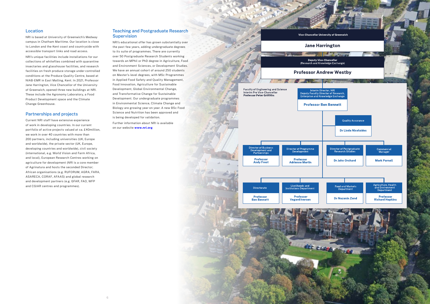

# Location Teaching and Postgraduate Research

NRI is based at University of Greenwich's Medway **Supervision** campus in Chatham Maritime. Our location is close NRI's educational offer has grown substantially over

to London and the Kent coast and countryside with the past few years, adding undergraduate degrees accessible transport links and road access. to its suite of programmes. There are currently NRI's unique facilities include installations for our over 50 Postgraduate Research Students working collections of whiteflies combined with quarantine towards an MPhil or PhD degree in Agriculture, Food insectaries and glasshouse facilities, and research and Environment Sciences, or Development Studies. Biology are growing year on year. A new BSc Food Partnerships and projects Science and Nutrition has been approved and is being developed for validation.

facilities on fresh produce storage under controlled We have an annual cohort of around 250 students conditions at the Produce Quality Centre, based at on Master's-level degrees, with MSc Programmes NIAB-EMR in East Malling, Kent. In 2021, Professor in Applied Food Safety and Quality Management, Jane Harrington, Vice Chancellor of the University Food Innovation, Agriculture for Sustainable of Greenwich, opened three new buildings at NRI. Development, Global Environmental Change, These include the Agronomy Laboratory, a Food and Transformative Change for Sustainable Product Development space and the Climate Development. Our undergraduate programmes Change Greenhouse. in Environmental Science, Climate Change and

Current NRI staff have extensive experience Further information about NRI is available<br>of work in developing countries. In our current on our website www.nri.org portfolio of active projects valued at ca. £40million, we work in over 40 countries with more than 200 partners, including universities (UK, Europe and worldwide), the private sector (UK, Europe, developing countries and worldwide), civil society (international, e.g. World Vision and Farm Africa, and local), European Research Centres working on agriculture for development (NRI is a core member of Agrinatura and hosts the seconded Director; African organisations (e.g. RUFORUM, AGRA, FARA, ASARECA, CORAF, AFAAS) and global research and development partners (e.g. GFAR, FAO, WFP and CGIAR centres and programmes).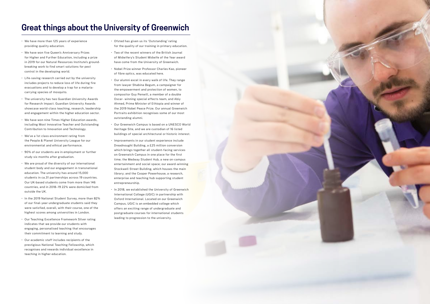# **Great things about the University of Greenwich**

- We have more than 125 years of experience Cofsted has given us its 'Outstanding' rating
- We have won five Queen's Anniversary Prizes Two of the recent winners of the British Journal in 2019 for our Natural Resources Institute's ground- have come from the University of Greenwich. breaking work to find smart solutions for pest<br>
• Nobel Prize winner Professor Charles Kao, pioneer<br>
• Cil Prize winner Professor Charles Kao, pioneer
- Life-saving research carried out by the university Our alumni excel in every walk of life. They range includes projects to reduce loss of life during fire includes projects to reduce loss of the during fire from lawyer Shabina Begum, a campaigner for evacuations and to develop a trap for a malariaevacuations and to develop a trap for a mataria-<br>carrying species of mosquito.
- The university has two Guardian University Awards **Oscar-** winning special effects team, and Abiy for Research Impact. Guardian University Awards Ahmed, Prime Minister of Ethiopia and winner of and engagement within the higher education sector. Portraits exhibition recognises some of our most
- outstanding alumni. We have won nine Times Higher Education awards, Contribution to Innovation and Technology. Heritage Site, and we are custodian of 16 listed
- 
- 
- education. The university has around 15,000 library; and the Cooper Powerhouse, a research, students in ca.31 partnerships across 19 countries. enterprise and teaching hub supporting student Our UK-based students come from more than 146 entrepreneurship. countries, and in 2018–19 22% were domiciled from • In 2018, we established the University of Greenwich outside the UK.
- In the 2019 National Student Survey, more than 82% Oxford International. Located on our Greenwich of our final-year undergraduate students said they Campus, UGIC is an embedded college which were satisfied, overall, with their course, one of the offers an exciting range of undergraduate and
- . Our Teaching Excellence Framework Silver rating **Excellence Framework Silver rating** indicates that we provide our students with engaging, personalised teaching that encourages their commitment to learning and study.
- Our academic staff includes recipients of the prestigious National Teaching Fellowship, which recognises and rewards individual excellence in teaching in higher education.
- providing quality education. The same of the quality of our training in primary education.
- for Higher and Further Education, including a prize of Midwifery's Student Midwife of the Year award
	- of fibre optics, was educated here.
- compositor Guy Penwill, a member of a double showcase world-class teaching, research, leadership the 2019 Nobel Peace Prize. Our annual Greenwich
- including Most Innovative Teacher and Outstanding Our Greenwich Campus is based on a UNESCO World buildings of special architectural or historic interest. • We've a 1st class environment rating from
- the People & Planet University League for our Improvements in our student experience include environmental and ethical performance. Dreadnought Building, a £25 million conversion which brings together all student-facing services • 90% of our students are in employment or further on Greenwich Campus in one place for the first study six months after graduation. time; the Medway Student Hub, a new on-campus • We are proud of the diversity of our international entertainment and social space; our award-winning student body and our engagement in transnational Stockwell Street Building, which houses the main
- International College (UGIC) in partnership with highest scores among universities in London. <br>
postgraduate courses for international students

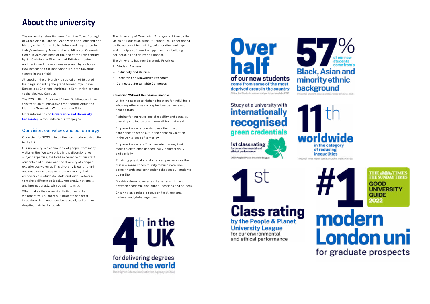# **About the university**

The university takes its name from the Royal Borough The University of Greenwich Strategy is driven by the of Greenwich in London. Greenwich has a long and rich vision of 'Education without Boundaries', underpinned history which forms the backdrop and inspiration for by the values of inclusivity, collaboration and impact, today's university. Many of the buildings on Greenwich and principles of creating opportunities, building Campus were designed at the end of the 17th century partnerships and delivering impact. by Sir Christopher Wren, one of Britain's greatest The University has four Strategic Priorities: architects, and the work was overseen by Nicholas 1. Student Success Hawksmoor and Sir John Vanbrugh, both towering **2. Inclusivity and Culture figures in their field.** 2. **12. 2. 2. 12. 2. 12. 2. 12. 2. 12. 2. 12. 2. 12. 12. 2. 12. 12. 12. 12. 12. 12. 12. 12. 12. 12. 12. 12. 12.**

Our university is a community of people from many makes a difference academically, commercially walks of life. We take pride in the diversity of our and socially. subject expertise, the lived experience of our staff, and enables us to say we are a university that  $\rule{1em}{0.15mm}$  peers, the empowers our students, staff and wider networks to make a difference locally, regionally, nationally **• Breaking down boundaries that exist within and** 

3. Research and Knowledge Exchange Altogether, the university is custodian of 16 listed buildings, including the grand former Royal Naval 4. Connected Sustainable Campuses Barracks at Chatham Maritime in Kent, which is home to the Medway Campus. **Education Without Boundaries means:**

The £76 million Stockwell Street Building continues  $\cdot$  Widening access to higher education for individuals this tradition of innovative architecture within the  $\cdot$  who may otherwise not aspire to experience and Maritime Greenwich World Heritage Site. benefit from it.

More information on **Governance and University**<br>**•** Fighting for improved social mobility and equality,<br>diversity and inclusions in everything that we do.

Our vision for 2030 is to be the best modern university in the workplaces of tomorrow. in the UK.

- who may otherwise not aspire to experience and
- 
- Our vision, our values and our strategy **Empowering our students to use their lived** experience to stand out in their chosen vocation
	-
- Providing physical and digital campus services that students and alumni, and the diversity of campus<br>foster a sense of community to build networks. experiences we offer. This diversity is our strength experiences we offer. This diversity is our strength experiences or community to build networks,  $\frac{1}{2}$
- and internationally, with equal intensity. between academic disciplines, locations and borders.
	-

in the for delivering degrees around the world The Higher Education Statistics Agency (HESA)

**Over** half of our new students come from some of the most deprived areas in the country Office for Students access and participation data, 2021

# minority ethnic background

## Study at a university with **internationally** recognised green credentials

1st class rating for our environmental and ethical performance.



(2021 People & Planet University League)



**Class rating** 

by the People & Planet

**University League** 

for our environmental and ethical performance









What makes the university distinctive is that  $\cdot$  Ensuring an equitable focus on local, regional, we proactively support our students and staff national and global agendas. to achieve their ambitions because of, rather than despite, their backgrounds.

- 
- 
- 
-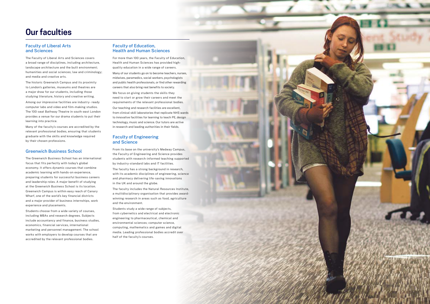# **Our faculties**

# Faculty of Liberal Arts Faculty of Education,

a broad range of disciplines, including architecture, Health and Human Sciences has provided highlandscape architecture and the built environment; quality education in a wide range of careers. humanities and social sciences; law and criminology; Many of our students go on to become teachers, nurses,

to London's galleries, museums and theatres are careers that also bring real benefits to society. a major draw for our students, including those We focus on giving students the skills they

Among our impressive facilities are industry- ready requirements of the relevant professional bodies. computer labs and video and film-making studios. Our teaching and research facilities are excellent, provides a venue for our drama students to put their<br>learning into practice.<br>technology music and science Our tutors are active

Many of the faculty's courses are accredited by the in research and leading authorities in their fields. relevant professional bodies, ensuring that students graduate with the skills and knowledge required Faculty of Engineering by their chosen professions. **and Science** 

and media and creative arts. midwives, paramedics, social workers, psychologists The historic Greenwich Campus and its proximity and public health professionals, or find other rewarding

studying literature, history and creative writing. need to start or grow their careers and meet the The 100-seat Bathway Theatre in south-east London from clinical skill laboratories that replicate NHS wards technology, music and science. Our tutors are active

Greenwich Business School From its base on the university's Medway Campus, the Faculty of Engineering and Science provides The Greenwich Business School has an international students with research-informed teaching supported

and pharmacy delivering life-saving innovations

Greenwich Campus is within easy reach of Canary<br>Wharf, one of the world's key financial districts and a major provider of business internships, work<br>and a major provider of business internships, work<br>and the environment.





focus that fits perfectly with today's global by industry-standard labs and IT facilities. economy. It offers dynamic courses that combine<br>academic learning with hands-on experience. academic learning with hands-on experience,<br>
preparing students for successful business careers<br>
and pharmacu dalivering life equing inpovations and leadership roles. A major benefit of studying in the UK and around the globe. at the Greenwich Business School is its location. experience and placements.

Students choose from a wide variety of courses,<br>
including MBAs and research degrees. Subjects<br>
including MBAs and research degrees. Subjects<br>
include accountancy and finance, business studies,<br>
economics, financial servic

# and Sciences **Health and Human Sciences**

The Faculty of Liberal Arts and Sciences covers For more than 100 years, the Faculty of Education,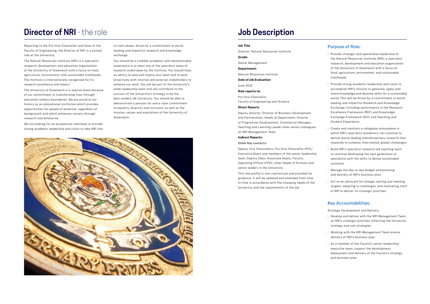# **Director of NRI - the role**

Reporting to the Pro Vice-Chancellor and Dean of the its next phase, driven by a commitment to world-Faculty of Engineering, the Director of NRI is a pivotal leading and impactful research and knowledge role at the University. The contract of the exchange.

research, development and education organisation experience in at least one of the specialist areas of of the University of Greenwich with a focus on food, research undertaken by the Institute. You should have agriculture, environment, and sustainable livelihoods. an ability to lead and inspire your team and to work The Institute is internationally recognised for its proactively with internal and external stakeholders to research excellence and impact.  $\blacksquare$  advance our work. You will be part of the University's

of our commitment to transforming lives through success of the University's strategy to be the best modern UK University. You should be able to education without boundaries. We are proud of our demonstrate a passion for and a clear commitment history as an educational institution which provides opportunities for people of potential, regardless of the opportunities for people of potential, regardless of mission, values and aspirations of the University of background, and which enhances society through research and enterprise. The contraction of the Greenwich.

The Natural Resources Institute (NRI) is a specialist You should be a credible academic with demonstrable The University of Greenwich is a special place because wider leadership team and will contribute to the



and Partnerships, Heads of Department; Director Exchange Framework (KEF) and Teaching and of Programme Development, Commercial Manager, Student Experience. Teaching and Learning Leader other senior colleagues • Create and maintain a collegiate atmosphere in<br>on NRI Management Team

Deputy Vice Chancellors, Pro Vice-Chancellor (PVC/ • Build NRI's specialist research-led teaching team Executive Dean) and members of the senior leadership to continue developing the next generation of team, Deputy Dean, Associate Deans, Faculty subsected as a specialists with the skills to devise sustainable Operating Officer (FOO), other Heads of Schools and solutions.

We are looking for an exceptional individual to provide strong academic leadership and vision to take NRI into

## **Job Description**

- Director, Natural Resources Institute<br> **Grade:** Provide strategic and operational leadership of **Grade:** the Natural Resources Institute (NRI), a specialist Senior Management research, development and education organisation organisation **Department: Department: of the University of Greenwich with a focus on** food, agriculture, environment, and sustainable Natural Resources Institute livelihoods.
- Provide strong academic leadership and vision to June 2022 **accomplish NRI's mission to generate, apply and accomplish NRI's mission to generate, apply and share knowledge and develop skills for a sustainable Pro Vice Chancellor,**  $\frac{1}{2}$  **world This will be driven by a semmitment** Pro Vice Chancellor,<br>Faculty of Engineering and Science **Example 2018** World. This will be driven by a commitment to world-<br>Looding and impactful Bossarch and Knowledge leading and impactful Research and Knowledge **Direct Reports** Exchange, including performance in the Research Deputy Director, Director of Business Development Excellence Framework (REF) and Knowledge
- which NRI's specialist academics can continue to **Indirect Reports: Indirect Reports: deliver world-leading interdisciplinary research that** Other Key contacts: responds to complex, interrelated, global challenges.
	-
- senior leaders in the University.<br>
This role profile is non-contractual and provided for<br>
exclude the day-to-day budget and planning<br>
and delivers of NBI's business also and delivery of NRI's business plan.
- to time in accordance with the changing needs of the the state of a an advocate for change, setting and meeting targets, adapting to challenges, and motivating staff University and the requirements of the job. in NRI to deliver its strategic priorities.

**Date of Job Evaluation:**

guidance. It will be updated and amended from time

## **Job Title Purpose of Role:**

## Key Accountabilities:

Strategy Development and Delivery

- Develop and deliver with the NRI Management Team on NRI's strategic priorities reflecting the University strategy and sub-strategies.
- Working with the NRI Management Team ensure delivery of NRI's business plan.
- As a member of the Faculty's senior leadership/ executive team, support the development, deployment and delivery of the Faculty's strategy and business plan.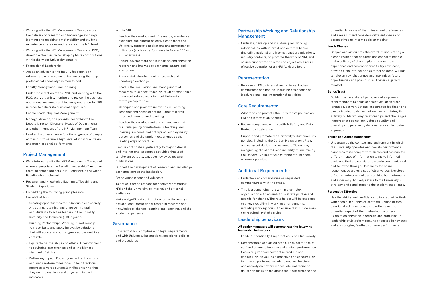- Working with the NRI Management Team, ensure  $\cdot$  Within NRI: the delivery of research and knowledge exchange,<br>learning and teaching, employability and student<br>exchange and apterning and it is most than
- Working with the NRI Management Team and PVC, indicators (such as performance in future REF and develop a clear vision for shaping NRI's contributions KEF exercises)
- 
- environment. Act as an adviser to the faculty leadership on relevant areas of responsibility, ensuring that expert **·** Ensure staff development in research and professional knowledge is maintained. https://www.witamagelea.com/integrational/integrational/integrational/integrational/integrational/integrational/integrational/integrational/integrational/integrational/integrational/in
- 
- FOO, plan, organise, monitor and review the business or subject-related wo<br>constriens reserves and income generation for NPL strategic aspirations. operations, resources and income generation for NRI in order to deliver its aims and objectives. • **•** Champion and promote innovation in Learning,
- 
- informed teaching and teaching teaching<br> **informed teaching and teaching Manage, develop, and provide leadership to the**<br> **i** Lead on the development and enhancement of Deputy Director, Directors, Heads of Departments
- Lead and motivate cross-functional groups of people<br>across NRI to secure a high level of individual, team<br>and organisational performance.<br>and organisational performance.

- Work internally with the NRI Management Team, and publications where appropriate the Faculty Leadership/Executive • Support the development of research and knowledge team, to embed projects in NRI and within the wider exchange across the Institution. Faculty where relevant. • **Faculty where relevant.** • Brand Ambassador and Advocate
- Research and Knowledge Exchange/ Teaching and To act as a brand ambassador actively promoting Student Experience NRI and the University to internal and external
- Embedding the following principles into measure and audiences.
- and students to act as leaders in the Equality, student experience. Diversity and Inclusion (EDI) agenda.
- Building Partnerships. Working in partnership **Governance** to make, build and apply innovative solutions
- and procedures. Equitable partnerships and ethics. A commitment to equitable partnerships and to the highest standard of ethics;
- Delivering Impact. Focusing on achieving shortand medium-term milestones to help track our progress towards our goals whilst ensuring that they map to medium- and long-term impact indicators.
- 
- exchange and enterprise activities to meet the experience strategies and targets at the NRI level. University strategic aspirations and performance
- within the wider University context.<br>
 Ensure development of a supportive and engaging • Professional Leadership research and knowledge exchange culture and
	-
- Faculty Management and Planning entity and the acquisition and management of FOO plan arranged maniformal of the PVC, and working with the resources to support teaching, student experience<br>FOO plan arranged manifor and ravious the business or subject-related work to meet University
- Teaching and Assessment including research- People Leadership and Management
- and other members of the NRI Management Team.<br>learning, research and enterprise, employability
- Lead or contribute significantly to major national and international academic activities that lead<br>to relevant outputs, e.g. peer-reviewed research
	-
	-
	-
- the work of NRI:<br>
 Make a significant contribution to the University's • Creating opportunities for individuals and society. The inational and international profile in research and Attracting, retaining and empowering staff knowledge exchange, learning and teaching, and the

(including national and international organisations, • Shapes and articulates the overall vision, setting a drawing from internal and external sources. Willing to take on new challenges and maximises future<br>
Representation opportunities and possibilities. Fosters a growth

 $\cdot$  Builds trust in a shared purpose and empowers. team members to achieve objectives. Uses clear Core Requirements: language, actively listens, encourages feedback and can be trusted to deliver. Influences with integrity, • Adhere to and promote the University's policies on actively builds working relationships and challenges<br>EDI and Information Security inappropriate behaviour. Values equality and

recognising the shared responsibility of minimising compares to its competitors. Seeks and assimilates the University's negative environmental impacts decisions that are consistent, clearly communicated and followed through. Demonstrates sound Additional Requirements: in the subgement based on a set of clear values. Develops Undertake any other duties as requested<br>
commensurate with the grade.<br>
strategy and contributes to the student experience.

• Ensure that NRI complies with legal requirements, that will accelerate our progress across multiple and with University instructions, decisions, policies contexts;

## Partnership Working and Relationship potential. Is aware of their biases and preferences Management and seeks out and considers different views and

Exhibits an engaging, energetic and enthusiastic Leadership behaviours and the leadership style, role modelling expected behaviours

perspectives to inform decision making.

• Cultivate, develop and maintain good working **Leads Change**<br> **Leads Change**<br> **Leads Change** industry contacts) to promote the work of NRI, and clear direction that engages and connects people secure support for its aims and objectives. Ensure in the delivery of change plans. Learns from effective operation of an NRI Advisory Board. experience and has confidence to try new ideas,

• Represent NRI on internal and external bodies, mindset. committees and boards, including attendance at **Builds Trust** local, regional and international activities.

- 
- Ensure compliance with Health & Safety and Data diversity and personally demonstrates an inclusive Protection Legislation **approach**.
- Support and promote the University's Sustainability **Thinks and Acts Strategically** policies, including the Carbon Management Plan,<br>and carry out duties in a resource-efficient way.<br>All the context and environment in which and carry out duties in a resource-efficient way, the University operates and how its performance<br>recognising the shared responsibility of minimising the University's negative environmental impacts<br>
different types of information to make informed<br>
wherever possible

- 
- This is a demanding role within a complex **Personally Effective** organisation with an ambitious strategic plan and agenda for change. The role holder will be expected<br>with people in a range of contexts. Demonstrates<br>with people in a range of contexts. Demonstrates to show flexibility in working arrangements,<br>to show flexibility in working arrangements,<br>emotional self-awareness and reflects on the including working hours, to ensure that NRI delivers potential impact of their behaviour on others. the required level of service.

## and encouraging feedback on own performance. **All senior managers will demonstrate the following leadership behaviours:**

- Leads Authentically, Empathetically and Inclusively
- Demonstrates and articulates high expectations of self and others to improve and sustain performance. Seeks to give feedback that is credible and challenging, as well as supportive and encouraging to improve performance where needed. Inspires and actively empowers individuals and teams to deliver on tasks, to maximise their performance and